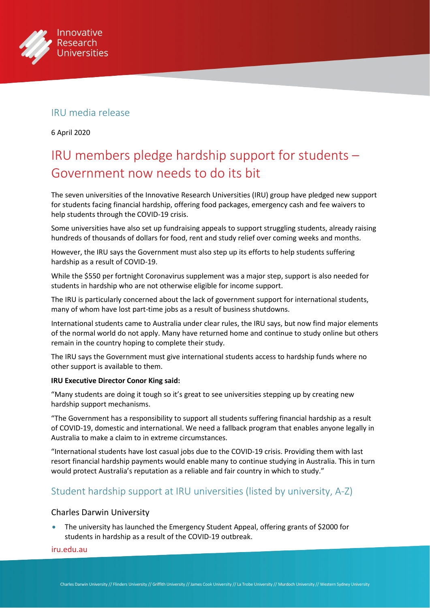

## IRU media release

6 April 2020

# IRU members pledge hardship support for students – Government now needs to do its bit

The seven universities of the Innovative Research Universities (IRU) group have pledged new support for students facing financial hardship, offering food packages, emergency cash and fee waivers to help students through the COVID-19 crisis.

Some universities have also set up fundraising appeals to support struggling students, already raising hundreds of thousands of dollars for food, rent and study relief over coming weeks and months.

However, the IRU says the Government must also step up its efforts to help students suffering hardship as a result of COVID-19.

While the \$550 per fortnight Coronavirus supplement was a major step, support is also needed for students in hardship who are not otherwise eligible for income support.

The IRU is particularly concerned about the lack of government support for international students, many of whom have lost part-time jobs as a result of business shutdowns.

International students came to Australia under clear rules, the IRU says, but now find major elements of the normal world do not apply. Many have returned home and continue to study online but others remain in the country hoping to complete their study.

The IRU says the Government must give international students access to hardship funds where no other support is available to them.

#### **IRU Executive Director Conor King said:**

"Many students are doing it tough so it's great to see universities stepping up by creating new hardship support mechanisms.

"The Government has a responsibility to support all students suffering financial hardship as a result of COVID-19, domestic and international. We need a fallback program that enables anyone legally in Australia to make a claim to in extreme circumstances.

"International students have lost casual jobs due to the COVID-19 crisis. Providing them with last resort financial hardship payments would enable many to continue studying in Australia. This in turn would protect Australia's reputation as a reliable and fair country in which to study."

## Student hardship support at IRU universities (listed by university, A-Z)

#### Charles Darwin University

• The university has launched the Emergency Student Appeal, offering grants of \$2000 for students in hardship as a result of the COVID-19 outbreak.

#### [iru.edu.au](http://iru.edu.au)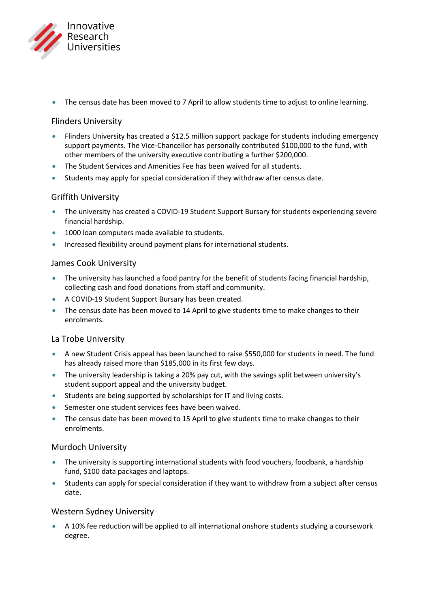

• The census date has been moved to 7 April to allow students time to adjust to online learning.

#### Flinders University

- Flinders University has created a \$12.5 million support package for students including emergency support payments. The Vice-Chancellor has personally contributed \$100,000 to the fund, with other members of the university executive contributing a further \$200,000.
- The Student Services and Amenities Fee has been waived for all students.
- Students may apply for special consideration if they withdraw after census date.

#### Griffith University

- The university has created a COVID-19 Student Support Bursary for students experiencing severe financial hardship.
- 1000 loan computers made available to students.
- Increased flexibility around payment plans for international students.

#### James Cook University

- The university has launched a food pantry for the benefit of students facing financial hardship, collecting cash and food donations from staff and community.
- A COVID-19 Student Support Bursary has been created.
- The census date has been moved to 14 April to give students time to make changes to their enrolments.

#### La Trobe University

- A new Student Crisis appeal has been launched to raise \$550,000 for students in need. The fund has already raised more than \$185,000 in its first few days.
- The university leadership is taking a 20% pay cut, with the savings split between university's student support appeal and the university budget.
- Students are being supported by scholarships for IT and living costs.
- Semester one student services fees have been waived.
- The census date has been moved to 15 April to give students time to make changes to their enrolments.

### Murdoch University

- The university is supporting international students with food vouchers, foodbank, a hardship fund, \$100 data packages and laptops.
- Students can apply for special consideration if they want to withdraw from a subject after census date.

### Western Sydney University

• A 10% fee reduction will be applied to all international onshore students studying a coursework degree.